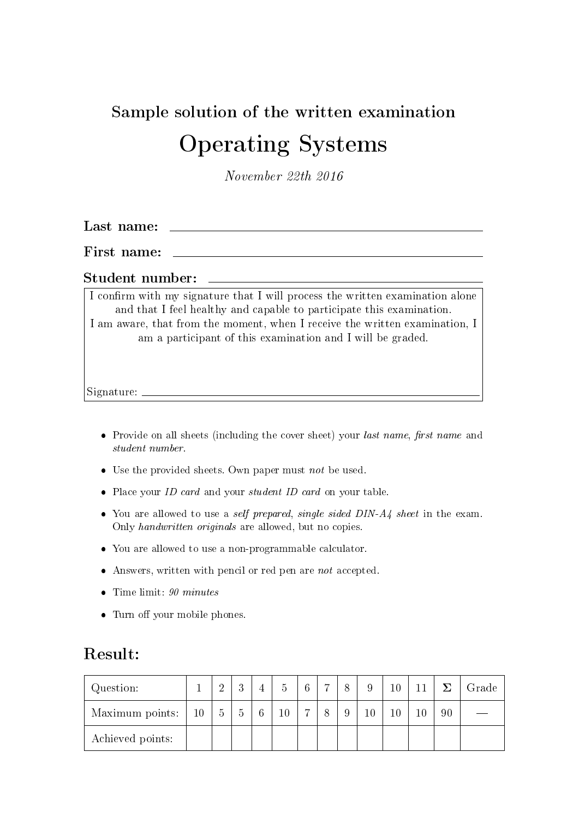# Sample solution of the written examination Operating Systems

November 22th 2016

Last name:

First name:

#### Student number:

I confirm with my signature that I will process the written examination alone and that I feel healthy and capable to participate this examination. I am aware, that from the moment, when I receive the written examination, I am a participant of this examination and I will be graded.

Signature:

- Provide on all sheets (including the cover sheet) your *last name*, *first name* and student number.
- $\bullet$  Use the provided sheets. Own paper must not be used.
- Place your *ID card* and your *student ID card* on your table.
- You are allowed to use a *self prepared, single sided DIN-A4* sheet in the exam. Only handwritten originals are allowed, but no copies.
- You are allowed to use a non-programmable calculator.
- $\bullet$  Answers, written with pencil or red pen are *not* accepted.
- $\bullet$  Time limit: 90 minutes
- Turn off your mobile phones.

#### Result:

| Question:        |           | ച<br>↩ | $\Omega$       | 5      | 6 | $\overline{ }$ | 8 | 9  | 10     |        | $\overline{ }$ | Grade |
|------------------|-----------|--------|----------------|--------|---|----------------|---|----|--------|--------|----------------|-------|
| Maximum points:  | <b>10</b> | 5      | $\overline{O}$ | $10\,$ | − |                | 9 | 10 | $10\,$ | $10\,$ | 90             |       |
| Achieved points: |           |        |                |        |   |                |   |    |        |        |                |       |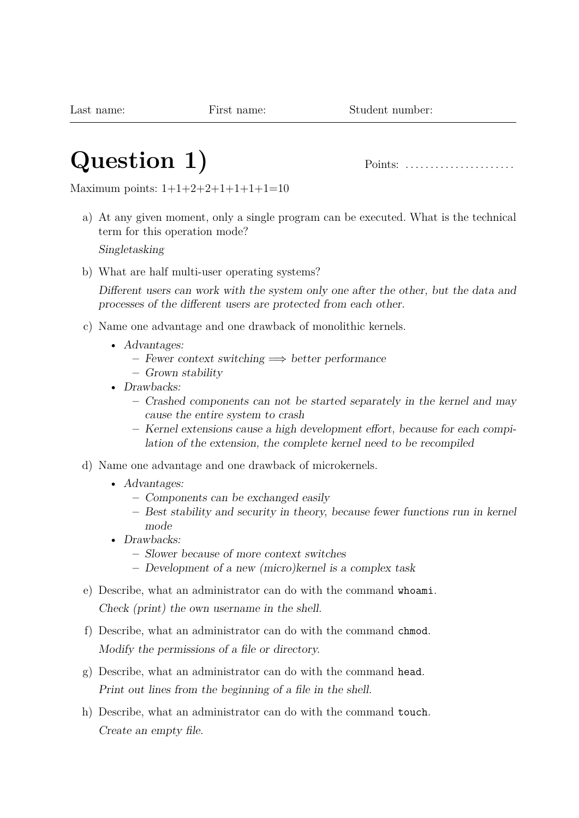# **Question 1)** Points: . . . . . . . . . . . . . . . . . . . . . .

Maximum points:  $1+1+2+2+1+1+1+1=10$ 

a) At any given moment, only a single program can be executed. What is the technical term for this operation mode?

Singletasking

b) What are half multi-user operating systems?

Different users can work with the system only one after the other, but the data and processes of the different users are protected from each other.

- c) Name one advantage and one drawback of monolithic kernels.
	- Advantages:
		- **–** Fewer context switching =⇒ better performance
		- **–** Grown stability
	- Drawbacks:
		- **–** Crashed components can not be started separately in the kernel and may cause the entire system to crash
		- **–** Kernel extensions cause a high development effort, because for each compilation of the extension, the complete kernel need to be recompiled
- d) Name one advantage and one drawback of microkernels.
	- Advantages:
		- **–** Components can be exchanged easily
		- **–** Best stability and security in theory, because fewer functions run in kernel mode
	- Drawbacks:
		- **–** Slower because of more context switches
		- **–** Development of a new (micro)kernel is a complex task
- e) Describe, what an administrator can do with the command whoami.

Check (print) the own username in the shell.

- f) Describe, what an administrator can do with the command chmod. Modify the permissions of a file or directory.
- g) Describe, what an administrator can do with the command head. Print out lines from the beginning of a file in the shell.
- h) Describe, what an administrator can do with the command touch. Create an empty file.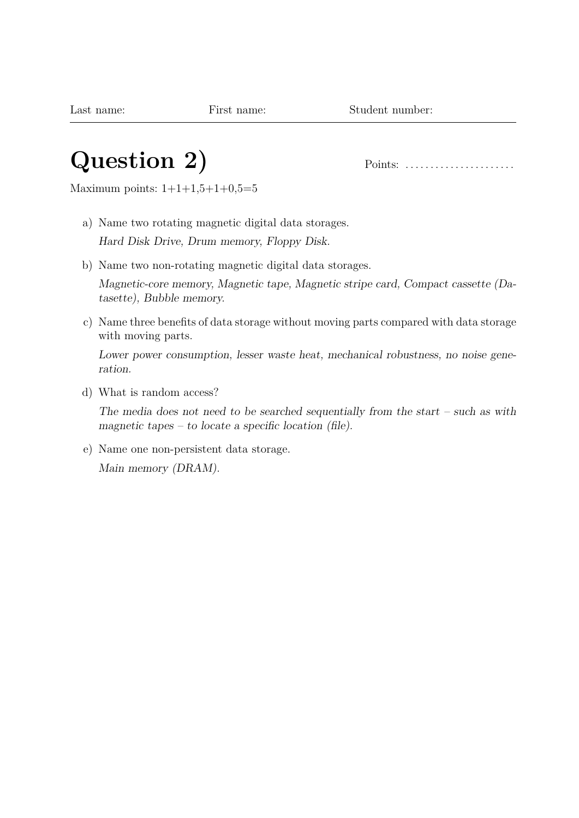#### **Question 2)** Points: . . . . . . . . . . . . . . . . . . . . . .

Maximum points:  $1+1+1,5+1+0,5=5$ 

- a) Name two rotating magnetic digital data storages. Hard Disk Drive, Drum memory, Floppy Disk.
- b) Name two non-rotating magnetic digital data storages.

Magnetic-core memory, Magnetic tape, Magnetic stripe card, Compact cassette (Datasette), Bubble memory.

c) Name three benefits of data storage without moving parts compared with data storage with moving parts.

Lower power consumption, lesser waste heat, mechanical robustness, no noise generation.

d) What is random access?

The media does not need to be searched sequentially from the start – such as with magnetic tapes – to locate a specific location (file).

e) Name one non-persistent data storage.

Main memory (DRAM).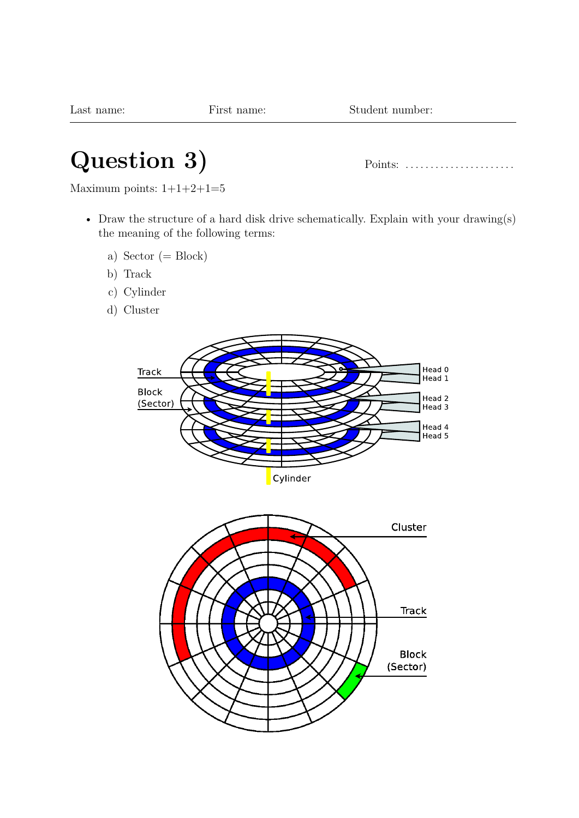# **Question 3)** Points: . . . . . . . . . . . . . . . . . . . . . .

Maximum points:  $1+1+2+1=5$ 

- Draw the structure of a hard disk drive schematically. Explain with your drawing(s) the meaning of the following terms:
	- a) Sector  $(= Block)$
	- b) Track
	- c) Cylinder
	- d) Cluster



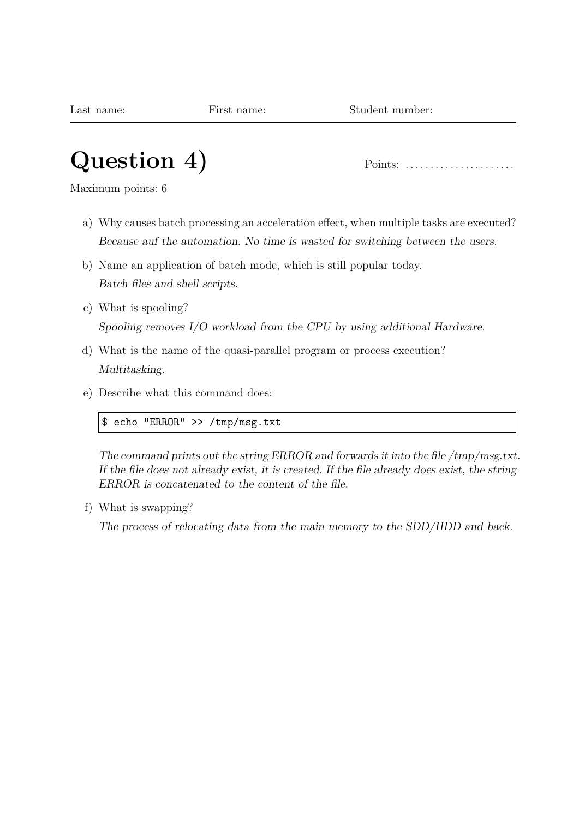# **Question 4)** Points: . . . . . . . . . . . . . . . . . . . . . .

Maximum points: 6

- a) Why causes batch processing an acceleration effect, when multiple tasks are executed? Because auf the automation. No time is wasted for switching between the users.
- b) Name an application of batch mode, which is still popular today. Batch files and shell scripts.
- c) What is spooling? Spooling removes I/O workload from the CPU by using additional Hardware.
- d) What is the name of the quasi-parallel program or process execution? Multitasking.
- e) Describe what this command does:

\$ echo "ERROR" >> /tmp/msg.txt

The command prints out the string ERROR and forwards it into the file /tmp/msg.txt. If the file does not already exist, it is created. If the file already does exist, the string ERROR is concatenated to the content of the file.

f) What is swapping?

The process of relocating data from the main memory to the SDD/HDD and back.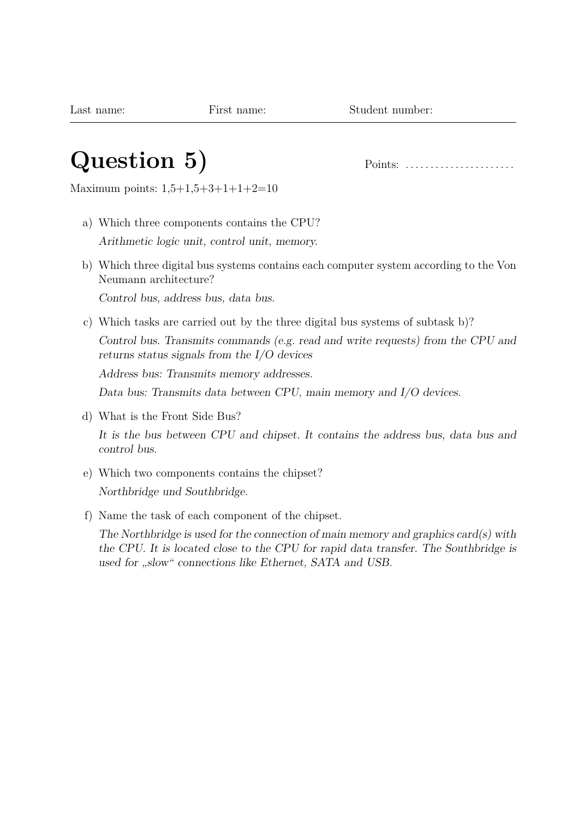# **Question 5)** Points: . . . . . . . . . . . . . . . . . . . . . .

Maximum points: 1,5+1,5+3+1+1+2=10

- a) Which three components contains the CPU? Arithmetic logic unit, control unit, memory.
- b) Which three digital bus systems contains each computer system according to the Von Neumann architecture?

Control bus, address bus, data bus.

c) Which tasks are carried out by the three digital bus systems of subtask b)?

Control bus. Transmits commands (e.g. read and write requests) from the CPU and returns status signals from the I/O devices

Address bus: Transmits memory addresses.

Data bus: Transmits data between CPU, main memory and I/O devices.

d) What is the Front Side Bus?

It is the bus between CPU and chipset. It contains the address bus, data bus and control bus.

- e) Which two components contains the chipset? Northbridge und Southbridge.
- f) Name the task of each component of the chipset.

The Northbridge is used for the connection of main memory and graphics card(s) with the CPU. It is located close to the CPU for rapid data transfer. The Southbridge is used for "slow" connections like Ethernet, SATA and USB.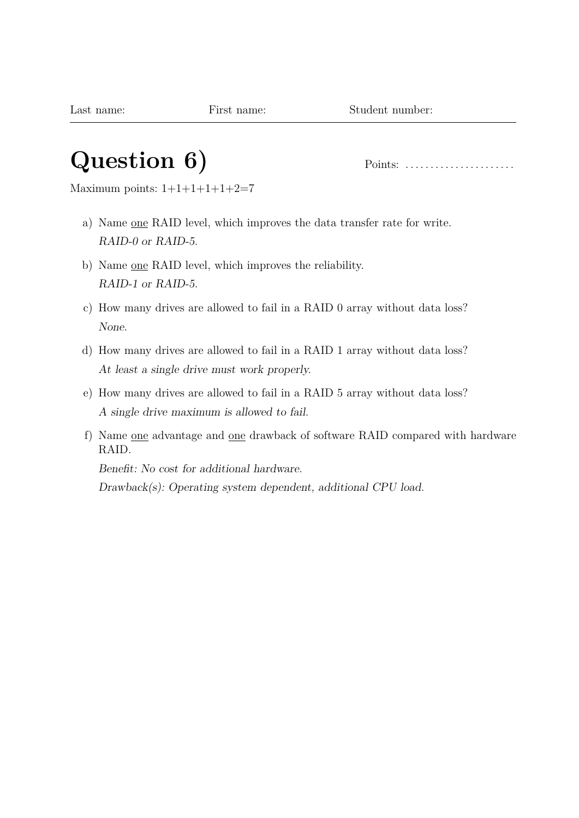# **Question 6)** Points: . . . . . . . . . . . . . . . . . . . . . .

Maximum points:  $1+1+1+1+1+2=7$ 

- a) Name one RAID level, which improves the data transfer rate for write. RAID-0 or RAID-5.
- b) Name one RAID level, which improves the reliability. RAID-1 or RAID-5.
- c) How many drives are allowed to fail in a RAID 0 array without data loss? None.
- d) How many drives are allowed to fail in a RAID 1 array without data loss? At least a single drive must work properly.
- e) How many drives are allowed to fail in a RAID 5 array without data loss? A single drive maximum is allowed to fail.
- f) Name one advantage and one drawback of software RAID compared with hardware RAID.

Benefit: No cost for additional hardware.

Drawback(s): Operating system dependent, additional CPU load.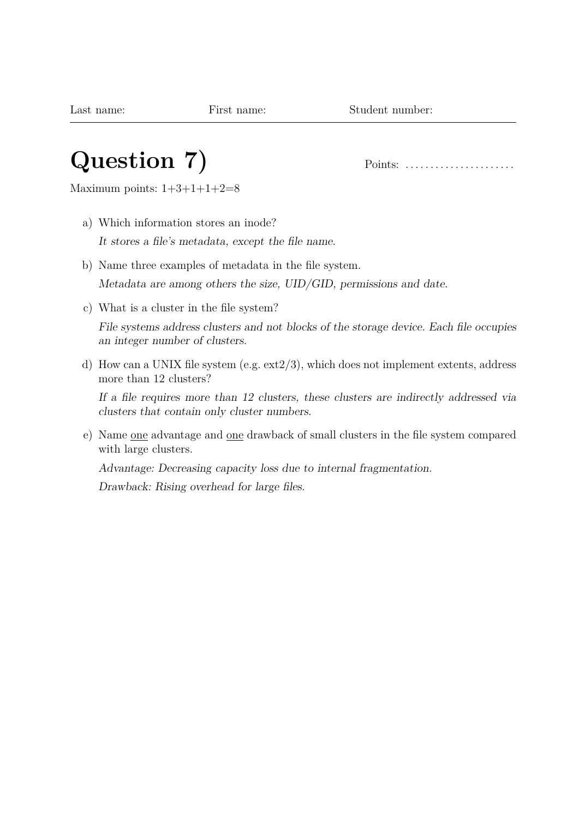## **Question 7)** Points: . . . . . . . . . . . . . . . . . . . . . .

Maximum points:  $1+3+1+1+2=8$ 

- a) Which information stores an inode? It stores a file's metadata, except the file name.
- b) Name three examples of metadata in the file system. Metadata are among others the size, UID/GID, permissions and date.
- c) What is a cluster in the file system?

File systems address clusters and not blocks of the storage device. Each file occupies an integer number of clusters.

d) How can a UNIX file system (e.g. ext2/3), which does not implement extents, address more than 12 clusters?

If a file requires more than 12 clusters, these clusters are indirectly addressed via clusters that contain only cluster numbers.

e) Name one advantage and one drawback of small clusters in the file system compared with large clusters.

Advantage: Decreasing capacity loss due to internal fragmentation.

Drawback: Rising overhead for large files.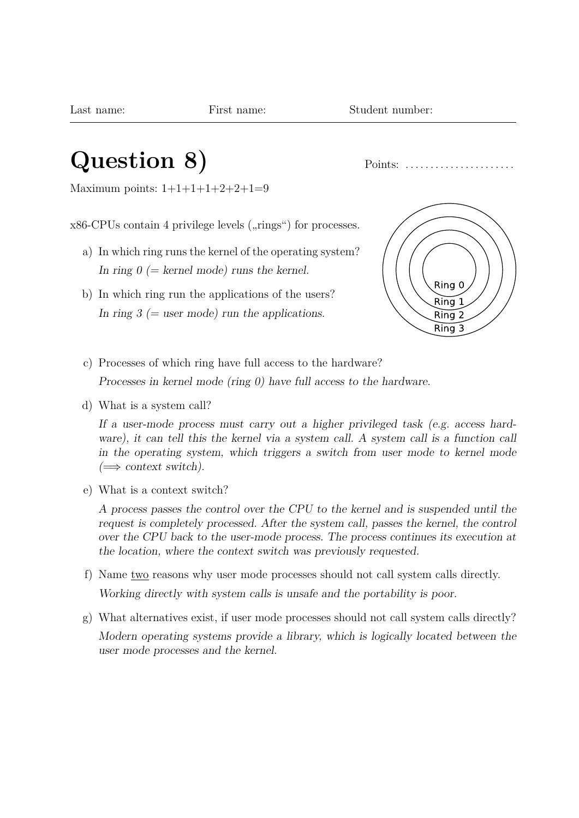#### **Question 8)** Points: . . . . . . . . . . . . . . . . . . . . . .

Maximum points:  $1+1+1+1+2+2+1=9$ 

 $x86$ -CPUs contain 4 privilege levels  $(\mu$ rings") for processes.

- a) In which ring runs the kernel of the operating system? In ring  $0 (= k$ ernel mode) runs the kernel.
- b) In which ring run the applications of the users? In ring  $3$  (= user mode) run the applications.



c) Processes of which ring have full access to the hardware?

Processes in kernel mode (ring 0) have full access to the hardware.

d) What is a system call?

If a user-mode process must carry out a higher privileged task (e.g. access hardware), it can tell this the kernel via a system call. A system call is a function call in the operating system, which triggers a switch from user mode to kernel mode  $\iff$  context switch).

e) What is a context switch?

A process passes the control over the CPU to the kernel and is suspended until the request is completely processed. After the system call, passes the kernel, the control over the CPU back to the user-mode process. The process continues its execution at the location, where the context switch was previously requested.

- f) Name two reasons why user mode processes should not call system calls directly. Working directly with system calls is unsafe and the portability is poor.
- g) What alternatives exist, if user mode processes should not call system calls directly? Modern operating systems provide a library, which is logically located between the user mode processes and the kernel.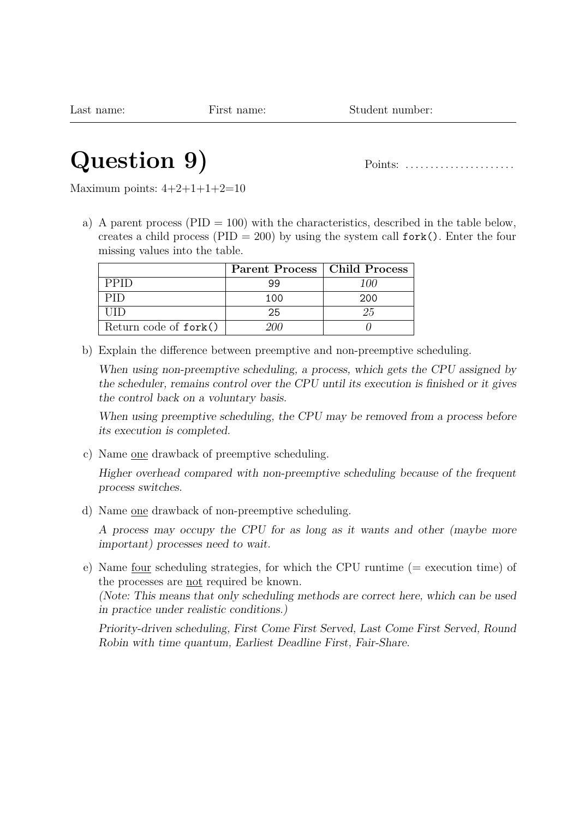# **Question 9)** Points: . . . . . . . . . . . . . . . . . . . . . .

Maximum points:  $4+2+1+1+2=10$ 

a) A parent process ( $PID = 100$ ) with the characteristics, described in the table below, creates a child process (PID = 200) by using the system call  $fork()$ . Enter the four missing values into the table.

|                       | Parent Process   Child Process |     |
|-----------------------|--------------------------------|-----|
| <b>PPID</b>           |                                | 100 |
|                       | 100                            | 200 |
|                       | 25                             |     |
| Return code of fork() | וווי                           |     |

b) Explain the difference between preemptive and non-preemptive scheduling.

When using non-preemptive scheduling, a process, which gets the CPU assigned by the scheduler, remains control over the CPU until its execution is finished or it gives the control back on a voluntary basis.

When using preemptive scheduling, the CPU may be removed from a process before its execution is completed.

c) Name one drawback of preemptive scheduling.

Higher overhead compared with non-preemptive scheduling because of the frequent process switches.

d) Name one drawback of non-preemptive scheduling.

A process may occupy the CPU for as long as it wants and other (maybe more important) processes need to wait.

e) Name four scheduling strategies, for which the CPU runtime (= execution time) of the processes are not required be known.

(Note: This means that only scheduling methods are correct here, which can be used in practice under realistic conditions.)

Priority-driven scheduling, First Come First Served, Last Come First Served, Round Robin with time quantum, Earliest Deadline First, Fair-Share.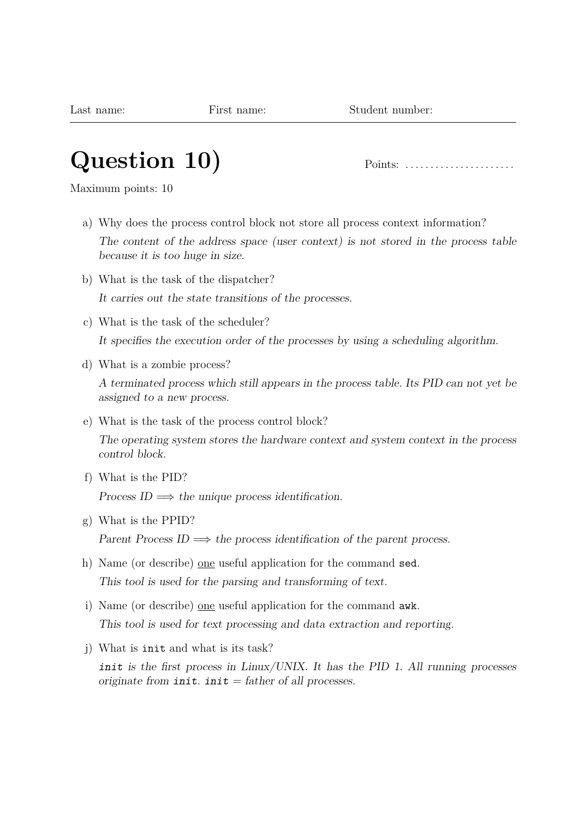# **Question 10)** Points: . . . . . . . . . . . . . . . . . . . . . .

Maximum points: 10

- a) Why does the process control block not store all process context information? The content of the address space (user context) is not stored in the process table because it is too huge in size.
- b) What is the task of the dispatcher? It carries out the state transitions of the processes.
- c) What is the task of the scheduler? It specifies the execution order of the processes by using a scheduling algorithm.
- d) What is a zombie process?

A terminated process which still appears in the process table. Its PID can not yet be assigned to a new process.

e) What is the task of the process control block?

The operating system stores the hardware context and system context in the process control block.

f) What is the PID?

Process  $ID \implies$  the unique process identification.

- g) What is the PPID? Parent Process ID  $\implies$  the process identification of the parent process.
- h) Name (or describe) one useful application for the command sed. This tool is used for the parsing and transforming of text.
- i) Name (or describe) one useful application for the command awk. This tool is used for text processing and data extraction and reporting.
- j) What is init and what is its task?

init is the first process in Linux/UNIX. It has the PID 1. All running processes originate from  $init.$   $init = father$  of all processes.